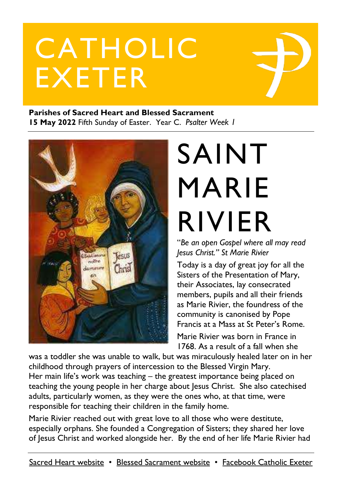# CATHOLIC EXETER

#### **Parishes of Sacred Heart and Blessed Sacrament 15 May 2022** Fifth Sunday of Easter. Year C. *Psalter Week 1*



# SAINT MARIE RIVIER

"*Be an open Gospel where all may read Jesus Christ." St Marie Rivier*

Today is a day of great joy for all the Sisters of the Presentation of Mary, their Associates, lay consecrated members, pupils and all their friends as Marie Rivier, the foundress of the community is canonised by Pope Francis at a Mass at St Peter's Rome.

Marie Rivier was born in France in 1768. As a result of a fall when she

was a toddler she was unable to walk, but was miraculously healed later on in her childhood through prayers of intercession to the Blessed Virgin Mary. Her main life's work was teaching – the greatest importance being placed on teaching the young people in her charge about Jesus Christ. She also catechised adults, particularly women, as they were the ones who, at that time, were responsible for teaching their children in the family home.

Marie Rivier reached out with great love to all those who were destitute, especially orphans. She founded a Congregation of Sisters; they shared her love of Jesus Christ and worked alongside her. By the end of her life Marie Rivier had

[Sacred Heart website](https://www.sacredheartexeter.org/) • [Blessed Sacrament website](https://www.blessedsacrament.org.uk/) • [Facebook Catholic Exeter](https://www.facebook.com/CatholicExeter)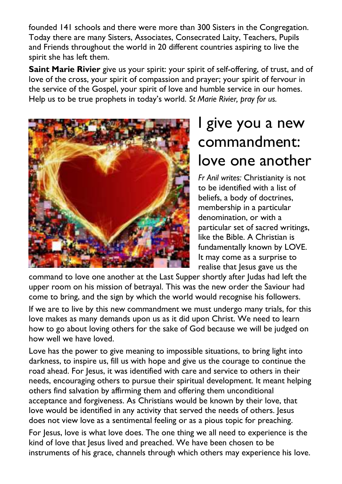founded 141 schools and there were more than 300 Sisters in the Congregation. Today there are many Sisters, Associates, Consecrated Laity, Teachers, Pupils and Friends throughout the world in 20 different countries aspiring to live the spirit she has left them.

**Saint Marie Rivier** give us your spirit: your spirit of self-offering, of trust, and of love of the cross, your spirit of compassion and prayer; your spirit of fervour in the service of the Gospel, your spirit of love and humble service in our homes. Help us to be true prophets in today's world. *St Marie Rivier, pray for us.*



# I give you a new commandment: love one another

*Fr Anil writes:* Christianity is not to be identified with a list of beliefs, a body of doctrines, membership in a particular denomination, or with a particular set of sacred writings, like the Bible. A Christian is fundamentally known by LOVE. It may come as a surprise to realise that Jesus gave us the

command to love one another at the Last Supper shortly after Judas had left the upper room on his mission of betrayal. This was the new order the Saviour had come to bring, and the sign by which the world would recognise his followers.

If we are to live by this new commandment we must undergo many trials, for this love makes as many demands upon us as it did upon Christ. We need to learn how to go about loving others for the sake of God because we will be judged on how well we have loved.

Love has the power to give meaning to impossible situations, to bring light into darkness, to inspire us, fill us with hope and give us the courage to continue the road ahead. For Jesus, it was identified with care and service to others in their needs, encouraging others to pursue their spiritual development. It meant helping others find salvation by affirming them and offering them unconditional acceptance and forgiveness. As Christians would be known by their love, that love would be identified in any activity that served the needs of others. Jesus does not view love as a sentimental feeling or as a pious topic for preaching.

For Jesus, love is what love does. The one thing we all need to experience is the kind of love that Jesus lived and preached. We have been chosen to be instruments of his grace, channels through which others may experience his love.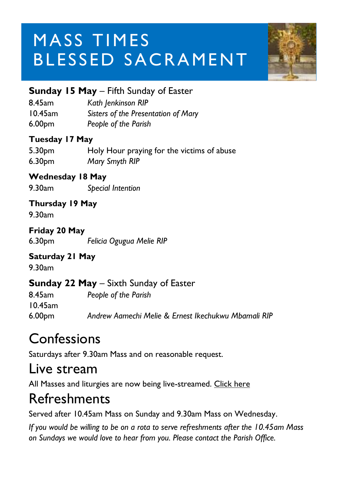# MASS TIMES BLESSED SACRAMENT



#### **Sunday 15 May** – Fifth Sunday of Easter

8.45am *Kath Jenkinson RIP*

10.45am *Sisters of the Presentation of Mary*

6.00pm *People of the Parish*

#### **Tuesday 17 May**

| 5.30 <sub>pm</sub> | Holy Hour praying for the victims of abuse |
|--------------------|--------------------------------------------|
| 6.30pm             | Mary Smyth RIP                             |

#### **Wednesday 18 May**

9.30am *Special Intention*

#### **Thursday 19 May**

9.30am

#### **Friday 20 May**

6.30pm *Felicia Ogugua Melie RIP*

#### **Saturday 21 May**

9.30am

#### **Sunday 22 May** – Sixth Sunday of Easter

8.45am *People of the Parish* 10.45am 6.00pm *Andrew Aamechi Melie & Ernest Ikechukwu Mbamali RIP*

### **Confessions**

Saturdays after 9.30am Mass and on reasonable request.

#### Live stream

All Masses and liturgies are now being live-streamed. [Click here](https://www.youtube.com/c/BlessedSacramentExeter)

### Refreshments

Served after 10.45am Mass on Sunday and 9.30am Mass on Wednesday.

*If you would be willing to be on a rota to serve refreshments after the 10.45am Mass on Sundays we would love to hear from you. Please contact the Parish Office.*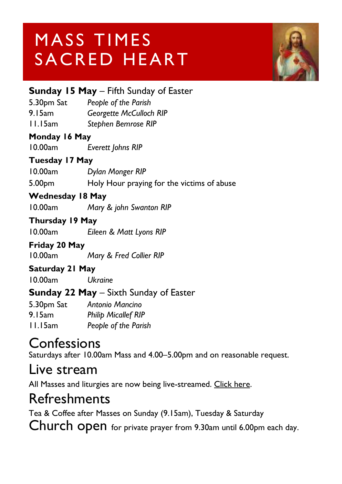# MASS TIMES SACRED HEART



|                         | <b>Sunday 15 May</b> – Fifth Sunday of Easter |
|-------------------------|-----------------------------------------------|
|                         | 5.30pm Sat People of the Parish               |
| 9.15am                  | <b>Georgette McCulloch RIP</b>                |
| I I.I 5am               | Stephen Bemrose RIP                           |
| Monday 16 May           |                                               |
| 10.00am                 | Everett Johns RIP                             |
| Tuesday 17 May          |                                               |
|                         | 10.00am Dylan Monger RIP                      |
| 5.00pm                  | Holy Hour praying for the victims of abuse    |
| <b>Wednesday 18 May</b> |                                               |
| 10.00am                 | Mary & john Swanton RIP                       |
| Thursday 19 May         |                                               |
| 10.00am                 | Eileen & Matt Lyons RIP                       |
| Friday 20 May           |                                               |
| 10.00am                 | Mary & Fred Collier RIP                       |
| Saturday 21 May         |                                               |
| 10.00am                 | <b>Ukraine</b>                                |
|                         | <b>Sunday 22 May</b> – Sixth Sunday of Easter |
|                         | 5.30pm Sat Antonio Mancino                    |
|                         | 9.15am Philip Micallef RIP                    |
| I I.I 5am               | People of the Parish                          |

#### **Confessions**

Saturdays after 10.00am Mass and 4.00–5.00pm and on reasonable request.

#### Live stream

All Masses and liturgies are now being live-streamed. [Click here.](https://www.youtube.com/channel/UCqZLydKWQ6CqG2utRNBeKmA)

### Refreshments

Tea & Coffee after Masses on Sunday (9.15am), Tuesday & Saturday Church open for private prayer from 9.30am until 6.00pm each day.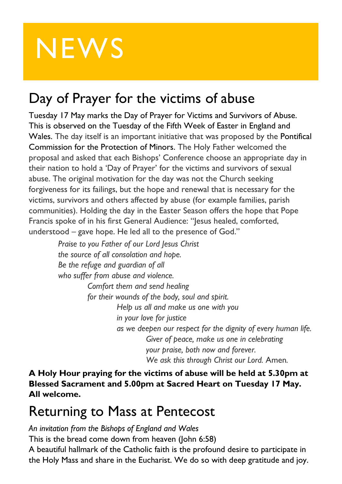# **NEWS**

## Day of Prayer for the victims of abuse

Tuesday 17 May marks the Day of Prayer for Victims and Survivors of Abuse. This is observed on the Tuesday of the Fifth Week of Easter in England and Wales. The day itself is an important initiative that was proposed by the [Pontifical](https://www.vatican.va/roman_curia/pontifical_commissions/tutela-minori/index.htm) [Commission](https://www.vatican.va/roman_curia/pontifical_commissions/tutela-minori/index.htm) for the Protection of Minors. The Holy Father welcomed the proposal and asked that each Bishops' Conference choose an appropriate day in their nation to hold a 'Day of Prayer' for the victims and survivors of sexual abuse. The original motivation for the day was not the Church seeking forgiveness for its failings, but the hope and renewal that is necessary for the victims, survivors and others affected by abuse (for example families, parish communities). Holding the day in the Easter Season offers the hope that Pope Francis spoke of in his first General Audience: "Jesus healed, comforted, understood – gave hope. He led all to the presence of God."

> *Praise to you Father of our Lord Jesus Christ the source of all consolation and hope. Be the refuge and guardian of all who suffer from abuse and violence. Comfort them and send healing for their wounds of the body, soul and spirit. Help us all and make us one with you in your love for justice as we deepen our respect for the dignity of every human life. Giver of peace, make us one in celebrating your praise, both now and forever. We ask this through Christ our Lord.* Amen*.*

**A Holy Hour praying for the victims of abuse will be held at 5.30pm at Blessed Sacrament and 5.00pm at Sacred Heart on Tuesday 17 May. All welcome.**

#### Returning to Mass at Pentecost

*An invitation from the Bishops of England and Wales*

This is the bread come down from heaven (John 6:58)

A beautiful hallmark of the Catholic faith is the profound desire to participate in the Holy Mass and share in the Eucharist. We do so with deep gratitude and joy.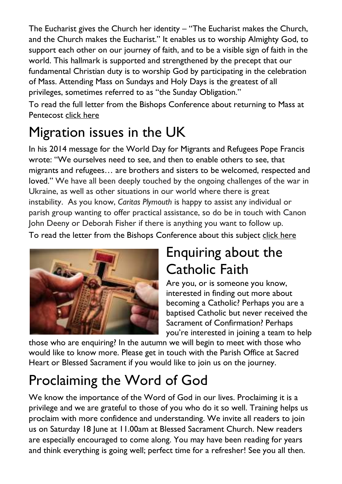The Eucharist gives the Church her identity – "The Eucharist makes the Church, and the Church makes the Eucharist." It enables us to worship Almighty God, to support each other on our journey of faith, and to be a visible sign of faith in the world. This hallmark is supported and strengthened by the precept that our fundamental Christian duty is to worship God by participating in the celebration of Mass. Attending Mass on Sundays and Holy Days is the greatest of all privileges, sometimes referred to as "the Sunday Obligation."

To read the full letter from the Bishops Conference about returning to Mass at Pentecost click [here](https://www.cbcew.org.uk/spring-plenary-2022-resolution-returning-to-mass-at-pentecost/)

## Migration issues in the UK

In his 2014 message for the World Day for Migrants and Refugees Pope Francis wrote: "We ourselves need to see, and then to enable others to see, that migrants and refugees… are brothers and sisters to be welcomed, respected and loved." We have all been deeply touched by the ongoing challenges of the war in Ukraine, as well as other situations in our world where there is great instability. As you know, *Caritas Plymouth* is happy to assist any individual or parish group wanting to offer practical assistance, so do be in touch with Canon John Deeny or Deborah Fisher if there is anything you want to follow up.

To read the letter from the Bishops Conference about this subject click [here](https://www.cbcew.org.uk/spring-plenary-2022-resolution-migration/)



## Enquiring about the Catholic Faith

Are you, or is someone you know, interested in finding out more about becoming a Catholic? Perhaps you are a baptised Catholic but never received the Sacrament of Confirmation? Perhaps you're interested in joining a team to help

those who are enquiring? In the autumn we will begin to meet with those who would like to know more. Please get in touch with the Parish Office at Sacred Heart or Blessed Sacrament if you would like to join us on the journey.

# Proclaiming the Word of God

We know the importance of the Word of God in our lives. Proclaiming it is a privilege and we are grateful to those of you who do it so well. Training helps us proclaim with more confidence and understanding. We invite all readers to join us on Saturday 18 June at 11.00am at Blessed Sacrament Church. New readers are especially encouraged to come along. You may have been reading for years and think everything is going well; perfect time for a refresher! See you all then.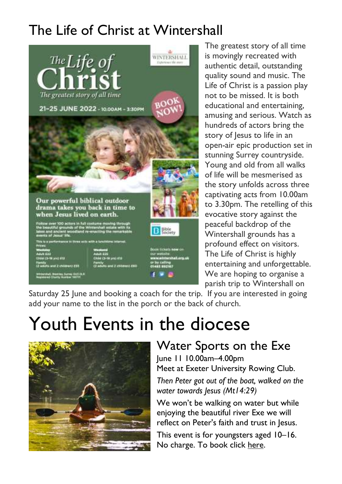## The Life of Christ at Wintershall



The greatest story of all time is movingly recreated with authentic detail, outstanding quality sound and music. The Life of Christ is a passion play not to be missed. It is both educational and entertaining, amusing and serious. Watch as hundreds of actors bring the story of lesus to life in an open-air epic production set in stunning Surrey countryside. Young and old from all walks of life will be mesmerised as the story unfolds across three captivating acts from 10.00am to 3.30pm. The retelling of this evocative story against the peaceful backdrop of the Wintershall grounds has a profound effect on visitors. The Life of Christ is highly entertaining and unforgettable. We are hoping to organise a parish trip to Wintershall on

Saturday 25 June and booking a coach for the trip. If you are interested in going add your name to the list in the porch or the back of church.

# Youth Events in the diocese



#### Water Sports on the Exe

June 11 10.00am–4.00pm Meet at Exeter University Rowing Club.

*Then Peter got out of the boat, walked on the water towards Jesus (Mt14:29)*

We won't be walking on water but while enjoying the beautiful river Exe we will reflect on Peter's faith and trust in Jesus.

This event is for youngsters aged 10–16. No charge. To book click [here.](https://forms.office.com/pages/responsepage.aspx?id=KidbqQHRkEKiqby9p4ZacZb3hbGtbDxGmw1Owwi3-lZURVk5N1c2OUdZRVdOTUs2QVVGTks4SExJSyQlQCN0PWcu)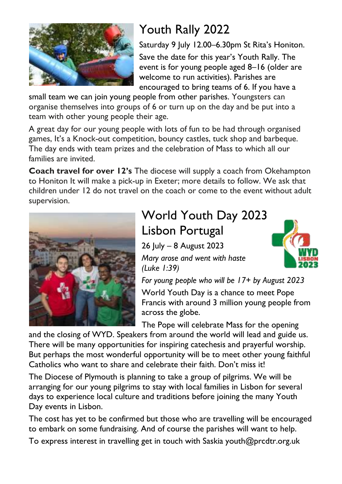

### Youth Rally 2022

Saturday 9 July 12.00–6.30pm St Rita's Honiton. Save the date for this year's Youth Rally. The event is for young people aged 8–16 (older are welcome to run activities). Parishes are encouraged to bring teams of 6. If you have a

small team we can join young people from other parishes. Youngsters can organise themselves into groups of 6 or turn up on the day and be put into a team with other young people their age.

A great day for our young people with lots of fun to be had through organised games, It's a Knock-out competition, bouncy castles, tuck shop and barbeque. The day ends with team prizes and the celebration of Mass to which all our families are invited.

**Coach travel for over 12's** The diocese will supply a coach from Okehampton to Honiton It will make a pick-up in Exeter; more details to follow. We ask that children under 12 do not travel on the coach or come to the event without adult supervision.



#### World Youth Day 2023 Lisbon Portugal

26 July – 8 August 2023



*Mary arose and went with haste (Luke 1:39)*

*For young people who will be 17+ by August 2023*

World Youth Day is a chance to meet Pope Francis with around 3 million young people from across the globe.

The Pope will celebrate Mass for the opening

and the closing of WYD. Speakers from around the world will lead and guide us. There will be many opportunities for inspiring catechesis and prayerful worship. But perhaps the most wonderful opportunity will be to meet other young faithful Catholics who want to share and celebrate their faith. Don't miss it!

The Diocese of Plymouth is planning to take a group of pilgrims. We will be arranging for our young pilgrims to stay with local families in Lisbon for several days to experience local culture and traditions before joining the many Youth Day events in Lisbon.

The cost has yet to be confirmed but those who are travelling will be encouraged to embark on some fundraising. And of course the parishes will want to help.

To express interest in travelling get in touch with Saskia youth@prcdtr.org.uk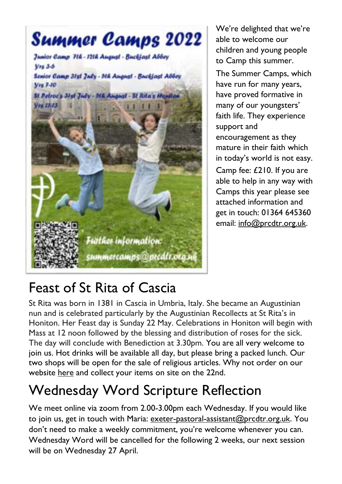

We're delighted that we're able to welcome our children and young people to Camp this summer.

The Summer Camps, which have run for many years, have proved formative in many of our youngsters' faith life. They experience support and encouragement as they mature in their faith which in today's world is not easy. Camp fee: £210. If you are able to help in any way with Camps this year please see attached information and get in touch: 01364 645360 email: [info@prcdtr.org.uk.](mailto:info@prcdtr.org.uk)

### Feast of St Rita of Cascia

St Rita was born in 1381 in Cascia in Umbria, Italy. She became an Augustinian nun and is celebrated particularly by the Augustinian Recollects at St Rita's in Honiton. Her Feast day is Sunday 22 May. Celebrations in Honiton will begin with Mass at 12 noon followed by the blessing and distribution of roses for the sick. The day will conclude with Benediction at 3.30pm. You are all very welcome to join us. Hot drinks will be available all day, but please bring a packed lunch. Our two shops will be open for the sale of religious articles. Why not order on our website [here](https://www.stritascentre.org/st-rita-s-shop) and collect your items on site on the 22nd.

## Wednesday Word Scripture Reflection

We meet online via zoom from 2.00-3.00pm each Wednesday. If you would like to join us, get in touch with Maria: [exeter-pastoral-assistant@prcdtr.org.uk.](mailto:exeter-pastoral-assistant@prcdtr.org.uk) You don't need to make a weekly commitment, you're welcome whenever you can. Wednesday Word will be cancelled for the following 2 weeks, our next session will be on Wednesday 27 April.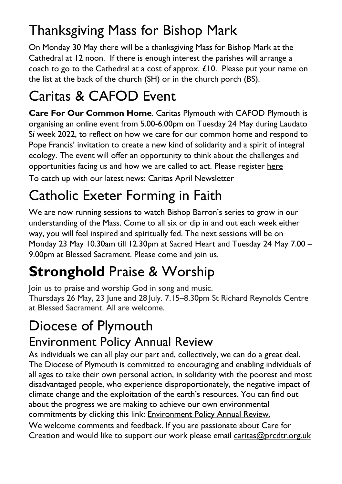## Thanksgiving Mass for Bishop Mark

On Monday 30 May there will be a thanksgiving Mass for Bishop Mark at the Cathedral at 12 noon. If there is enough interest the parishes will arrange a coach to go to the Cathedral at a cost of approx. £10. Please put your name on the list at the back of the church (SH) or in the church porch (BS).

## Caritas & CAFOD Event

**Care For Our Common Home**. Caritas Plymouth with CAFOD Plymouth is organising an online event from 5.00-6.00pm on Tuesday 24 May during Laudato Sí week 2022, to reflect on how we care for our common home and respond to Pope Francis' invitation to create a new kind of solidarity and a spirit of integral ecology. The event will offer an opportunity to think about the challenges and opportunities facing us and how we are called to act. Please [register](https://forms.office.com/r/L7nNXjjb57) here To catch up with our latest news: Caritas April [Newsletter](https://email.workwithgusto.co.uk/t/t-92E98FEB5804515E2540EF23F30FEDED)

# Catholic Exeter Forming in Faith

We are now running sessions to watch Bishop Barron's series to grow in our understanding of the Mass. Come to all six or dip in and out each week either way, you will feel inspired and spiritually fed. The next sessions will be on Monday 23 May 10.30am till 12.30pm at Sacred Heart and Tuesday 24 May 7.00 – 9.00pm at Blessed Sacrament. Please come and join us.

# **Stronghold** Praise & Worship

Join us to praise and worship God in song and music.

Thursdays 26 May, 23 June and 28 July. 7.15–8.30pm St Richard Reynolds Centre at Blessed Sacrament. All are welcome.

# Diocese of Plymouth

#### Environment Policy Annual Review

As individuals we can all play our part and, collectively, we can do a great deal. The Diocese of Plymouth is committed to encouraging and enabling individuals of all ages to take their own personal action, in solidarity with the poorest and most disadvantaged people, who experience disproportionately, the negative impact of climate change and the exploitation of the earth's resources. You can find out about the progress we are making to achieve our own environmental commitments by clicking this link: **[Environment](https://www.plymouth-diocese.org.uk/wp-content/uploads/2022/03/Environmental-Policy-Review-2021-2.pdf) Policy Annual Review.** 

We welcome comments and feedback. If you are passionate about Care for Creation and would like to support our work please email [caritas@prcdtr.org.uk](mailto:caritas@prcdtr.org.uk)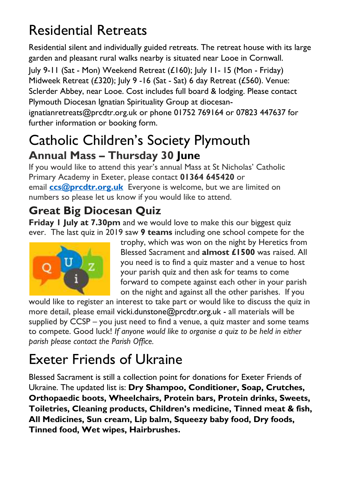# Residential Retreats

Residential silent and individually guided retreats. The retreat house with its large garden and pleasant rural walks nearby is situated near Looe in Cornwall.

July 9-11 (Sat - Mon) Weekend Retreat  $(L160)$ ; July 11-15 (Mon - Friday) Midweek Retreat (£320); July 9 -16 (Sat - Sat) 6 day Retreat (£560). Venue: Sclerder Abbey, near Looe. Cost includes full board & lodging. Please contact Plymouth Diocesan Ignatian Spirituality Group at diocesan-

ignatianretreats@prcdtr.org.uk or phone 01752 769164 or 07823 447637 for further information or booking form.

#### Catholic Children's Society Plymouth **Annual Mass – Thursday 30 June**

If you would like to attend this year's annual Mass at St Nicholas' Catholic Primary Academy in Exeter, please contact **01364 645420** or email **[ccs@prcdtr.org.uk](mailto:ccs@prcdtr.org.uk)** Everyone is welcome, but we are limited on numbers so please let us know if you would like to attend.

#### **Great Big Diocesan Quiz**

**Friday 1 July at 7.30pm** and we would love to make this our biggest quiz ever. The last quiz in 2019 saw **9 teams** including one school compete for the



trophy, which was won on the night by Heretics from Blessed Sacrament and **almost £1500** was raised. All you need is to find a quiz master and a venue to host your parish quiz and then ask for teams to come forward to compete against each other in your parish on the night and against all the other parishes. If you

would like to register an interest to take part or would like to discuss the quiz in more detail, please email [vicki.dunstone@prcdtr.org.uk](mailto:vicki.dunstone@prcdtr.org.uk) - all materials will be supplied by CCSP – you just need to find a venue, a quiz master and some teams to compete. Good luck! *If anyone would like to organise a quiz to be held in either parish please contact the Parish Office.*

## Exeter Friends of Ukraine

Blessed Sacrament is still a collection point for donations for Exeter Friends of Ukraine. The updated list is: **Dry Shampoo, Conditioner, Soap, Crutches, Orthopaedic boots, Wheelchairs, Protein bars, Protein drinks, Sweets, Toiletries, Cleaning products, Children's medicine, Tinned meat & fish, All Medicines, Sun cream, Lip balm, Squeezy baby food, Dry foods, Tinned food, Wet wipes, Hairbrushes.**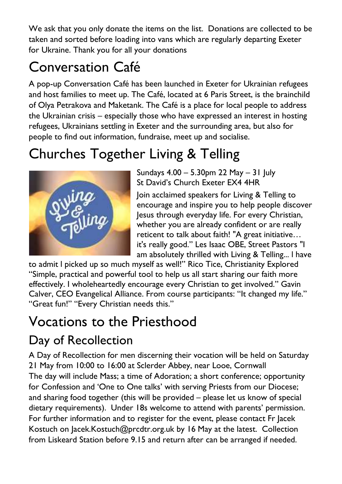We ask that you only donate the items on the list. Donations are collected to be taken and sorted before loading into vans which are regularly departing Exeter for Ukraine. Thank you for all your donations

# Conversation Café

A pop-up Conversation Café has been launched in Exeter for Ukrainian refugees and host families to meet up. The Café, located at 6 Paris Street, is the brainchild of Olya Petrakova and Maketank. The Café is a place for local people to address the Ukrainian crisis – especially those who have expressed an interest in hosting refugees, Ukrainians settling in Exeter and the surrounding area, but also for people to find out information, fundraise, meet up and socialise.

# Churches Together Living & Telling



Sundays 4.00 – 5.30pm 22 May – 31 July St David's Church Exeter EX4 4HR

Join acclaimed speakers for Living & Telling to encourage and inspire you to help people discover Jesus through everyday life. For every Christian, whether you are already confident or are really reticent to talk about faith! "A great initiative… it's really good." Les Isaac OBE, Street Pastors "I am absolutely thrilled with Living & Telling... l have

to admit l picked up so much myself as well!" Rico Tice, Christianity Explored "Simple, practical and powerful tool to help us all start sharing our faith more effectively. I wholeheartedly encourage every Christian to get involved." Gavin Calver, CEO Evangelical Alliance. From course participants: "It changed my life." "Great fun!" "Every Christian needs this."

# Vocations to the Priesthood

#### Day of Recollection

A Day of Recollection for men discerning their vocation will be held on Saturday 21 May from 10:00 to 16:00 at Sclerder Abbey, near Looe, Cornwall The day will include Mass; a time of Adoration; a short conference; opportunity for Confession and 'One to One talks' with serving Priests from our Diocese; and sharing food together (this will be provided – please let us know of special dietary requirements). Under 18s welcome to attend with parents' permission. For further information and to register for the event, please contact Fr Jacek Kostuch on [Jacek.Kostuch@prcdtr.org.uk](mailto:Jacek.Kostuch@prcdtr.org.uk) by 16 May at the latest. Collection from Liskeard Station before 9.15 and return after can be arranged if needed.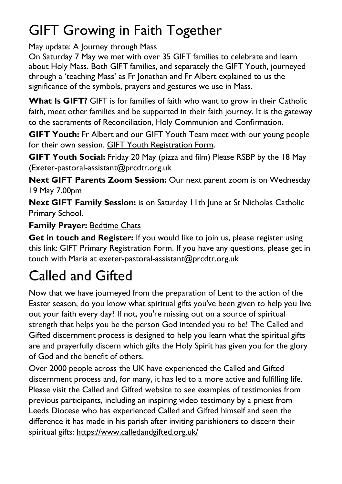# GIFT Growing in Faith Together

May update: A Journey through Mass

On Saturday 7 May we met with over 35 GIFT families to celebrate and learn about Holy Mass. Both GIFT families, and separately the GIFT Youth, journeyed through a 'teaching Mass' as Fr Jonathan and Fr Albert explained to us the significance of the symbols, prayers and gestures we use in Mass.

**What Is GIFT?** GIFT is for families of faith who want to grow in their Catholic faith, meet other families and be supported in their faith journey. It is the gateway to the sacraments of Reconciliation, Holy Communion and Confirmation.

**GIFT Youth:** Fr Albert and our GIFT Youth Team meet with our young people for their own session. GIFT Youth [Registration](https://docs.google.com/forms/d/1js2AU2QewgH1ui7kjv2-mKDJcyulRGa34G-Eo3ao8FI/edit) Form.

**GIFT Youth Social:** Friday 20 May (pizza and film) Please RSBP by the 18 May (Exeter-pastoral-assistant@prcdtr.org.uk

**Next GIFT Parents Zoom Session:** Our next parent zoom is on Wednesday 19 May 7.00pm

**Next GIFT Family Session:** is on Saturday 11th June at St Nicholas Catholic Primary School.

#### **Family Prayer:** [Bedtime](https://www.blessedsacrament.org.uk/parish-life/gift/) Chats

**Get in touch and Register:** If you would like to join us, please register using this link: GIFT Primary [Registration](https://docs.google.com/forms/d/1Qs8jP69t9hS5V3ukZvm34yn8pDZdS0iDYrhXY_j8pMQ/edit) Form. If you have any questions, please get in touch with Maria at [exeter-pastoral-assistant@prcdtr.org.uk](mailto:exeter-pastoral-assistant@prcdtr.org.uk)

# Called and Gifted

Now that we have journeyed from the preparation of Lent to the action of the Easter season, do you know what spiritual gifts you've been given to help you live out your faith every day? If not, you're missing out on a source of spiritual strength that helps you be the person God intended you to be! The Called and Gifted discernment process is designed to help you learn what the spiritual gifts are and prayerfully discern which gifts the Holy Spirit has given you for the glory of God and the benefit of others.

Over 2000 people across the UK have experienced the Called and Gifted discernment process and, for many, it has led to a more active and fulfilling life. Please visit the Called and Gifted website to see examples of testimonies from previous participants, including an inspiring video testimony by a priest from Leeds Diocese who has experienced Called and Gifted himself and seen the difference it has made in his parish after inviting parishioners to discern their spiritual gifts: [https://www.calledandgifted.org.uk/](https://linkprotect.cudasvc.com/url?a=https%3a%2f%2fwww.calledandgifted.org.uk%2f&c=E,1,-187j_dQ30RFC6lkH3-843K3uLzctXLDZce-XyFuJ9iCsi4-Y8Z1lGp0SFvy-n56BfTa-V0_6_mzZ94D34JAxxpLlPGgro1dS1-3pcITH07e&typo=1)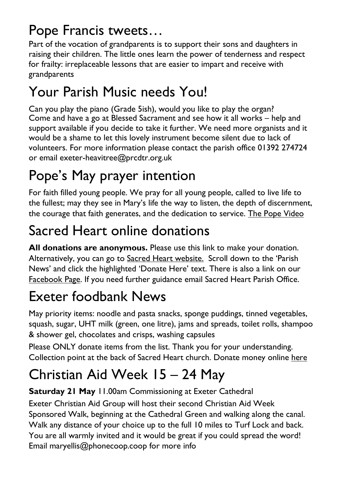# Pope Francis tweets…

Part of the vocation of grandparents is to support their sons and daughters in raising their children. The little ones learn the power of tenderness and respect for frailty: irreplaceable lessons that are easier to impart and receive with grandparents

# Your Parish Music needs You!

Can you play the piano (Grade 5ish), would you like to play the organ? Come and have a go at Blessed Sacrament and see how it all works – help and support available if you decide to take it further. We need more organists and it would be a shame to let this lovely instrument become silent due to lack of volunteers. For more information please contact the parish office 01392 274724 or email exeter-heavitree@prcdtr.org.uk

# Pope's May prayer intention

For faith filled young people. We pray for all young people, called to live life to the fullest; may they see in Mary's life the way to listen, the depth of discernment, the courage that faith generates, and the dedication to service. The Pope [Video](https://thepopevideo.org/)

# Sacred Heart online donations

**All donations are anonymous.** Please use [this](https://givealittle.co/campaigns/f94e8739-d2fd-4ce6-9fca60470ef39403) link to make your donation. Alternatively, you can go to Sacred Heart [website.](https://www.sacredheartexeter.org/) Scroll down to the 'Parish News' and click the highlighted 'Donate Here' text. There is also a link on our [Facebook](https://www.facebook.com/Sacred-HeartCatholic-Church-Exeter-422138011310698) Page. If you need further guidance email Sacred Heart Parish Office.

# Exeter foodbank News

May priority items: noodle and pasta snacks, sponge puddings, tinned vegetables, squash, sugar, UHT milk (green, one litre), jams and spreads, toilet rolls, shampoo & shower gel, chocolates and crisps, washing capsules

Please ONLY donate items from the list. Thank you for your understanding. Collection point at the back of Sacred Heart church. Donate money online [here](https://uk.virginmoneygiving.com/charity-web/charity/finalCharityHomepage.action?charityId=1016975&_ga=2.106832579.1384579075.1617955505-1667813714.1617955505)

# Christian Aid Week 15 – 24 May

#### **Saturday 21 May** 11.00am Commissioning at Exeter Cathedral

Exeter Christian Aid Group will host their second Christian Aid Week Sponsored Walk, beginning at the Cathedral Green and walking along the canal. Walk any distance of your choice up to the full 10 miles to Turf Lock and back. You are all warmly invited and it would be great if you could spread the word! Email [maryellis@phonecoop.coop](mailto:maryellis@phonecoop.coop) for more info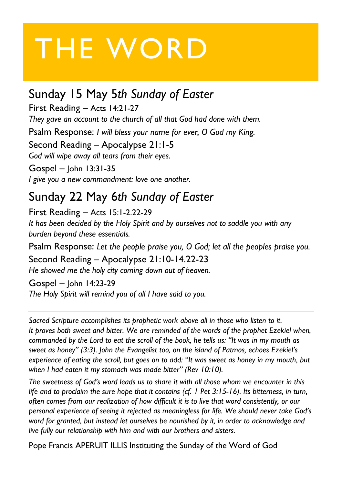# THE WORD

#### Sunday 15 May 5*th Sunday of Easter*

First Reading – Acts 14:21-27 *They gave an account to the church of all that God had done with them.*

Psalm Response: *I will bless your name for ever, O God my King.*

Second Reading – Apocalypse 21:1-5

*God will wipe away all tears from their eyes.*

Gospel – John 13:31-35 *I give you a new commandment: love one another.*

#### Sunday 22 May 6*th Sunday of Easter*

First Reading – Acts 15:1-2.22-29

*It has been decided by the Holy Spirit and by ourselves not to saddle you with any burden beyond these essentials.*

Psalm Response: *Let the people praise you, O God; let all the peoples praise you.* Second Reading – Apocalypse 21:10-14.22-23 *He showed me the holy city coming down out of heaven.*

Gospel – John 14:23-29 *The Holy Spirit will remind you of all I have said to you.*

*Sacred Scripture accomplishes its prophetic work above all in those who listen to it. It proves both sweet and bitter. We are reminded of the words of the prophet Ezekiel when,* commanded by the Lord to eat the scroll of the book, he tells us: "It was in my mouth as *sweet as honey" (3:3). John the Evangelist too, on the island of Patmos, echoes Ezekiel's* experience of eating the scroll, but goes on to add: "It was sweet as honey in my mouth, but *when I had eaten it my stomach was made bitter" (Rev 10:10).*

*The sweetness of God's word leads us to share it with all those whom we encounter in this life and to proclaim the sure hope that it contains (cf. 1 Pet 3:15-16). Its bitterness, in turn, often comes from our realization of how difficult it is to live that word consistently, or our personal experience of seeing it rejected as meaningless for life. We should never take God's word for granted, but instead let ourselves be nourished by it, in order to acknowledge and live fully our relationship with him and with our brothers and sisters.*

Pope Francis APERUIT ILLIS Instituting the Sunday of the Word of God